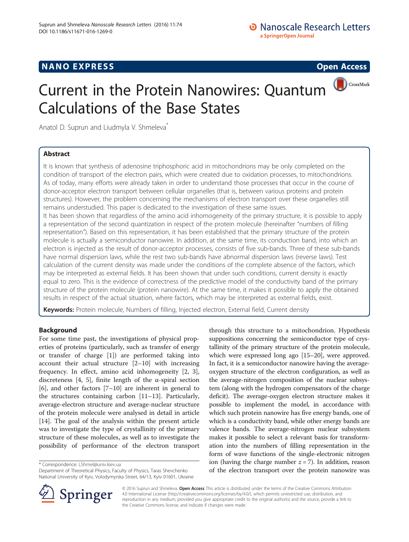# **NANO EXPRESS** Open Access and the set of the set of the set of the set of the set of the set of the set of the set of the set of the set of the set of the set of the set of the set of the set of the set of the set of the



# Current in the Protein Nanowires: Quantum Calculations of the Base States

Anatol D. Suprun and Liudmyla V. Shmeleva<sup>\*</sup>

# Abstract

It is known that synthesis of adenosine triphosphoric acid in mitochondrions may be only completed on the condition of transport of the electron pairs, which were created due to oxidation processes, to mitochondrions. As of today, many efforts were already taken in order to understand those processes that occur in the course of donor-acceptor electron transport between cellular organelles (that is, between various proteins and protein structures). However, the problem concerning the mechanisms of electron transport over these organelles still remains understudied. This paper is dedicated to the investigation of these same issues. It has been shown that regardless of the amino acid inhomogeneity of the primary structure, it is possible to apply

a representation of the second quantization in respect of the protein molecule (hereinafter "numbers of filling representation"). Based on this representation, it has been established that the primary structure of the protein molecule is actually a semiconductor nanowire. In addition, at the same time, its conduction band, into which an electron is injected as the result of donor-acceptor processes, consists of five sub-bands. Three of these sub-bands have normal dispersion laws, while the rest two sub-bands have abnormal dispersion laws (reverse laws). Test calculation of the current density was made under the conditions of the complete absence of the factors, which may be interpreted as external fields. It has been shown that under such conditions, current density is exactly equal to zero. This is the evidence of correctness of the predictive model of the conductivity band of the primary structure of the protein molecule (protein nanowire). At the same time, it makes it possible to apply the obtained results in respect of the actual situation, where factors, which may be interpreted as external fields, exist.

Keywords: Protein molecule, Numbers of filling, Injected electron, External field, Current density

# Background

For some time past, the investigations of physical properties of proteins (particularly, such as transfer of energy or transfer of charge [[1\]](#page--1-0)) are performed taking into account their actual structure [[2](#page--1-0)–[10](#page--1-0)] with increasing frequency. In effect, amino acid inhomogeneity [\[2](#page--1-0), [3](#page--1-0)], discreteness [\[4](#page--1-0), [5](#page--1-0)], finite length of the  $\alpha$ -spiral section [[6\]](#page--1-0), and other factors [[7](#page--1-0)–[10](#page--1-0)] are inherent in general to the structures containing carbon [[11](#page--1-0)–[13](#page--1-0)]. Particularly, average-electron structure and average-nuclear structure of the protein molecule were analysed in detail in article [[14\]](#page--1-0). The goal of the analysis within the present article was to investigate the type of crystallinity of the primary structure of these molecules, as well as to investigate the possibility of performance of the electron transport

\* Correspondence: [LShmel@univ.kiev.ua](mailto:LShmel@univ.kiev.ua)

Department of Theoretical Physics, Faculty of Physics, Taras Shevchenko National University of Kyiv, Volodymyrska Street, 64/13, Kyiv 01601, Ukraine

through this structure to a mitochondrion. Hypothesis suppositions concerning the semiconductor type of crystallinity of the primary structure of the protein molecule, which were expressed long ago [\[15](#page--1-0)–[20\]](#page--1-0), were approved. In fact, it is a semiconductor nanowire having the averageoxygen structure of the electron configuration, as well as the average-nitrogen composition of the nuclear subsystem (along with the hydrogen compensators of the charge deficit). The average-oxygen electron structure makes it possible to implement the model, in accordance with which such protein nanowire has five energy bands, one of which is a conductivity band, while other energy bands are valence bands. The average-nitrogen nuclear subsystem makes it possible to select a relevant basis for transformation into the numbers of filling representation in the form of wave functions of the single-electronic nitrogen ion (having the charge number  $z = 7$ ). In addition, reason of the electron transport over the protein nanowire was



© 2016 Suprun and Shmeleva. Open Access This article is distributed under the terms of the Creative Commons Attribution 4.0 International License [\(http://creativecommons.org/licenses/by/4.0/](http://creativecommons.org/licenses/by/4.0/)), which permits unrestricted use, distribution, and reproduction in any medium, provided you give appropriate credit to the original author(s) and the source, provide a link to the Creative Commons license, and indicate if changes were made.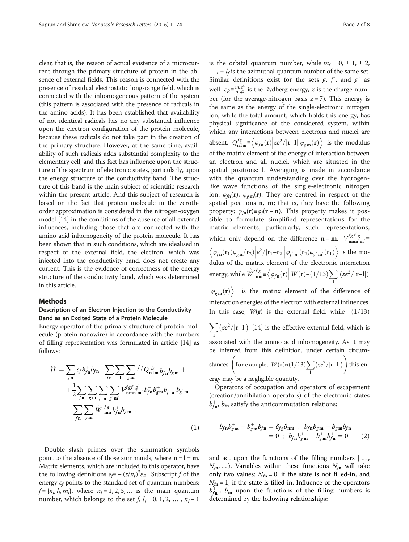clear, that is, the reason of actual existence of a microcurrent through the primary structure of protein in the absence of external fields. This reason is connected with the presence of residual electrostatic long-range field, which is connected with the inhomogeneous pattern of the system (this pattern is associated with the presence of radicals in the amino acids). It has been established that availability of not identical radicals has no any substantial influence upon the electron configuration of the protein molecule, because these radicals do not take part in the creation of the primary structure. However, at the same time, availability of such radicals adds substantial complexity to the elementary cell, and this fact has influence upon the structure of the spectrum of electronic states, particularly, upon the energy structure of the conductivity band. The structure of this band is the main subject of scientific research within the present article. And this subject of research is based on the fact that protein molecule in the zerothorder approximation is considered in the nitrogen-oxygen model [[14](#page--1-0)] in the conditions of the absence of all external influences, including those that are connected with the amino acid inhomogeneity of the protein molecule. It has been shown that in such conditions, which are idealised in respect of the external field, the electron, which was injected into the conductivity band, does not create any current. This is the evidence of correctness of the energy structure of the conductivity band, which was determined in this article.

## Methods

# Description of an Electron Injection to the Conductivity Band as an Excited State of a Protein Molecule

Energy operator of the primary structure of protein molecule (protein nanowire) in accordance with the numbers of filling representation was formulated in article [[14](#page--1-0)] as follows:

$$
\hat{H} = \sum_{f\mathbf{n}} \varepsilon_f b_{f\mathbf{n}}^+ b_{f\mathbf{n}} - \sum_{f\mathbf{n}} \sum_{\mathbf{I}} \sum_{g\mathbf{m}} / Q_{\mathbf{n}\mathbf{I}\mathbf{m}}^{fg} b_{f\mathbf{n}}^+ b_{g\mathbf{m}} + \n+ \frac{1}{2} \sum_{f\mathbf{n}} \sum_{g\mathbf{m}} \sum_{g'\mathbf{n}} \sum_{g'\mathbf{m}} V_{\mathbf{m}\mathbf{m}\mathbf{n}}^{fgf'g'} b_{f\mathbf{n}}^+ b_{g'\mathbf{m}}^+ b_{f'\mathbf{n}} \cdot b_{g'\mathbf{m}} \n+ \sum_{f\mathbf{n}} \sum_{g\mathbf{m}} \tilde{W}_{\mathbf{m}\mathbf{m}}^{fg} b_{f\mathbf{n}}^+ b_{g\mathbf{m}}.
$$
\n(1)

Double slash primes over the summation symbols point to the absence of those summands, where  $n = l = m$ . Matrix elements, which are included to this operator, have the following definitions  $\varepsilon_{\vec{F}} - (z/n_f)^2 \varepsilon_R$ . Subscript f of the energy  $\varepsilon_f$  points to the standard set of quantum numbers:  $f = \{n_f, l_f, m_f\}$ , where  $n_f = 1, 2, 3, \dots$  is the main quantum number, which belongs to the set *f*,  $l_f = 0, 1, 2, \ldots, n_f - 1$ 

is the orbital quantum number, while  $m_f = 0, \pm 1, \pm 2$ ,  $\ldots$ ,  $\pm$  *l<sub>f</sub>* is the azimuthal quantum number of the same set. Similar definitions exist for the sets  $g, f',$  and  $g'$  as well.  $\varepsilon_R \equiv \frac{m_e e^4}{2 \hbar^2}$  is the Rydberg energy, *z* is the charge number (for the average-nitrogen basis  $z = 7$ ). This energy is the same as the energy of the single-electronic nitrogen ion, while the total amount, which holds this energy, has physical significance of the considered system, within which any interactions between electrons and nuclei are absent.  $Q_{\bf n1m}^f \equiv \langle \varphi_{f\bf n}({\bf r}) | ze^2 / |{\bf r} - {\bf l}| |\varphi_{g\bf m}({\bf r}) \rangle$  is the modulus of the matrix element of the energy of interaction between an electron and all nuclei, which are situated in the spatial positions: l. Averaging is made in accordance with the quantum understanding over the hydrogenlike wave functions of the single-electronic nitrogen ion:  $\varphi_{f_n}(r)$ ,  $\varphi_{g_m}(r)$ . They are centred in respect of the spatial positions n, m; that is, they have the following property:  $\varphi_{f_n}(r) \equiv \varphi_f(r - n)$ . This property makes it possible to formulate simplified representations for the matrix elements, particularly, such representations, which only depend on the difference **n** − **m**.  $V_{\text{num}_{\text{min}}}^{\{gf/g\}}$  $\left\langle \varphi_{f\mathbf{n}}(\mathbf{r}_1)\varphi_{g\mathbf{m}}(\mathbf{r}_2) \right|$  $e^2/|\mathbf{r}_1-\mathbf{r}_2| \Big| \varphi_{f \mid \mathbf{n}}(\mathbf{r}_2)\varphi_{g \mid \mathbf{m}}(\mathbf{r}_1) \Big\rangle$  is the modulus of the matrix element of the electronic interaction energy, while  $\tilde{W}^{fg}_{nm} \equiv \left\langle \varphi_{fn}(\mathbf{r}) \right| W(\mathbf{r}) - (1/13) \sum_{\mathbf{l}} (ze^2/|\mathbf{r}-\mathbf{l}|)$ 

 $\left|\varphi_{\text{g m}}(\mathbf{r})\right\rangle$  is the matrix element of the difference of interaction energies of the electron with external influences. In this case,  $W(\mathbf{r})$  is the external field, while  $(1/13)$ 

 $\sum_{l} (ze^2/|\mathbf{r}-\mathbf{l}|)$  [\[14\]](#page--1-0) is the effective external field, which is l associated with the amino acid inhomogeneity. As it may be inferred from this definition, under certain circumstances for example,  $W(\mathbf{r}) \approx (1/13) \sum_{1}$ f or example,  $W(\mathbf{r}) \approx (1/13) \sum_{\mathbf{l}} (ze^2/|\mathbf{r}-\mathbf{l}|)$  this energy may be a negligible quantity.

Operators of occupation and operators of escapement (creation/annihilation operators) of the electronic states  $b_{f{\bf n}}^{+}$ ,  $b_{f{\bf n}}$  satisfy the anticommutation relations:

$$
b_{f\mathbf{n}}b_{g\mathbf{m}}^{+} + b_{g\mathbf{m}}^{+}b_{f\mathbf{n}} = \delta_{fg}\delta_{\mathbf{n}\mathbf{m}} \ ; \ b_{f\mathbf{n}}b_{g\mathbf{m}} + b_{g\mathbf{m}}b_{f\mathbf{n}} = 0 \ ; \ b_{f\mathbf{n}}^{+}b_{g\mathbf{m}}^{+} + b_{g\mathbf{m}}^{+}b_{f\mathbf{n}}^{+} = 0 \qquad (2)
$$

and act upon the functions of the filling numbers | … ,  $N_{f\mathbf{n}}$ ,  $\ldots$ ). Variables within these functions  $N_{f\mathbf{n}}$  will take only two values:  $N_{f\mathbf{n}} = 0$ , if the state is not filled-in, and  $N_{fn} = 1$ , if the state is filled-in. Influence of the operators  $b_{f\mathbf{n}}^+$ ,  $b_{f\mathbf{n}}$  upon the functions of the filling numbers is determined by the following relationships: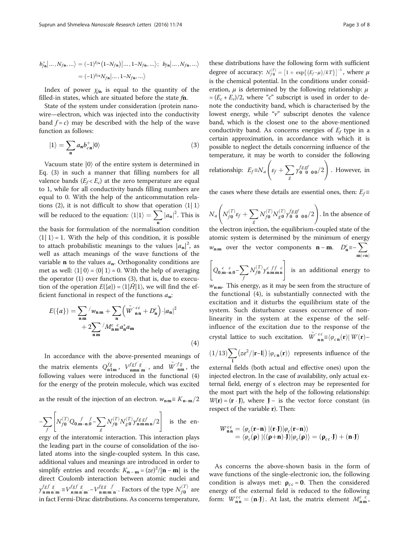$$
b_{f\mathbf{n}}^+ | \dots, N_{f\mathbf{n}}, \dots \rangle = (-1)^{\chi_{f\mathbf{n}}}(1 - N_{f\mathbf{n}}) | \dots, 1 - N_{f\mathbf{n}}, \dots \rangle; b_{f\mathbf{n}} | \dots, N_{f\mathbf{n}}, \dots \rangle
$$
  
= (-1)^{\chi\_{f\mathbf{n}}} N\_{f\mathbf{n}} | \dots, 1 - N\_{f\mathbf{n}}, \dots \rangle

Index of power  $\chi_{f\mathbf{n}}$  is equal to the quantity of the filled-in states, which are situated before the state  $fn$ .

State of the system under consideration (protein nanowire—electron, which was injected into the conductivity band  $f = c$ ) may be described with the help of the wave function as follows:

$$
|1\rangle = \sum_{\mathbf{n}} a_{\mathbf{n}} b_{c\mathbf{n}}^{+} |0\rangle \tag{3}
$$

Vacuum state  $|0\rangle$  of the entire system is determined in Eq. (3) in such a manner that filling numbers for all valence bands  $(E_f \langle E_c \rangle)$  at the zero temperature are equal to 1, while for all conductivity bands filling numbers are equal to 0. With the help of the anticommutation relations (2), it is not difficult to show that operation  $\langle 1 | 1 \rangle$ will be reduced to the equation:  $\langle 1|1 \rangle = \sum_{\mathbf{n}} |a_{\mathbf{n}}|^2$ . This is

the basis for formulation of the normalisation condition  $\langle 1 | 1 \rangle = 1$ . With the help of this condition, it is possible to attach probabilistic meanings to the values  $|a_n|^2$ , as well as attach meanings of the wave functions of the variable **n** to the values  $a_n$ . Orthogonality conditions are met as well:  $\langle 1 | 0 \rangle = \langle 0 | 1 \rangle = 0$ . With the help of averaging the operator (1) over functions (3), that is, due to execution of the operation  $E({a}) = \langle 1|\hat{H}|1\rangle$ , we will find the efficient functional in respect of the functions  $a_n$ :

$$
E({a}) = \sum_{\mathbf{n}\mathbf{m}}' w_{\mathbf{n}\mathbf{m}} + \sum_{\mathbf{n}} (\tilde{W}^{cc}_{\mathbf{n}\mathbf{n}} + D_{\mathbf{n}}^c) \cdot |a_{\mathbf{n}}|^2
$$
  
+ 2 $\sum_{\mathbf{n}\mathbf{m}}' M_{\mathbf{n}\mathbf{m}}^c a_{\mathbf{n}}^* a_{\mathbf{m}}$  (4)

In accordance with the above-presented meanings of the matrix elements  $Q_{n1m}^{fg}$ ,  $V_{nmn'm'}^{fgf'g'}$ , and  $\tilde{W}_{nm}^{fg}$ , the following values were introduced in the functional (4) for the energy of the protein molecule, which was excited

as the result of the injection of an electron.  $w_{nm} \equiv K_{n-m}/2$ 

$$
-\sum_{f}\left[N_{f\mathbf{0}}^{(T)}Q_{\mathbf{0},\mathbf{m-n},\mathbf{0}}^{~~f}-\sum_{g}N_{f\mathbf{0}}^{(T)}N_{g\mathbf{0}}^{(T)}\gamma_{\mathbf{n}\mathbf{m}\mathbf{m}\mathbf{n}}^{fg\,gf}\right]\quad\text{is the en-}
$$

ergy of the interatomic interaction. This interaction plays the leading part in the course of consolidation of the isolated atoms into the single-coupled system. In this case, additional values and meanings are introduced in order to simplify entries and records:  $K_{\mathbf{n}-\mathbf{m}} = (ze)^2/|\mathbf{n}-\mathbf{m}|$  is the direct Coulomb interaction between atomic nuclei and  $\gamma_{n,mn,m'}^{fgf'g'} \equiv V_{n,mn,m'}^{fgf'g'} - V_{n,mm,n'}^{fgf'f'}$ . Factors of the type  $N_{f0}^{(T)}$  are in fact Fermi-Dirac distributions. As concerns temperature,

these distributions have the following form with sufficient degree of accuracy:  $N_{f0}^{(T)} = \left[1 + \exp\{(E_f - \mu)/kT\}\right]^{-1}$ , where  $\mu$ is the chemical potential. In the conditions under consideration,  $\mu$  is determined by the following relationship:  $\mu$  $=(E_c + E_v)/2$ , where "c" subscript is used in order to denote the conductivity band, which is characterised by the lowest energy, while "v" subscript denotes the valence band, which is the closest one to the above-mentioned conductivity band. As concerns energies of  $E_f$  type in a certain approximation, in accordance with which it is possible to neglect the details concerning influence of the temperature, it may be worth to consider the following

relationship: 
$$
E_f \equiv N_a \left( \varepsilon_f + \sum_g \gamma_0^{fggf} \frac{\varepsilon_f}{\varepsilon_f} \right)
$$
. However, in

the cases where these details are essential ones, then:  $E_f \equiv$ 

$$
N_a \left( N_{f0}^{(T)} \varepsilon_f + \sum_g N_{f0}^{(T)} N_{g0}^{(T)} \gamma_{0}^{fggf} \right) \text{ on } (2)
$$
. In the absence of

the electron injection, the equilibrium-coupled state of the atomic system is determined by the minimum of energy  $w_{nm}$  over the vector components **n** – **m**.  $D_n^c \equiv -\sum$  $m(\neq n)$ 

$$
\left[Q_{0,\mathbf{m-n},0}^c - \sum_f N_{f0}^{(T)} \gamma_{\mathbf{n}\mathbf{m}\mathbf{m}\mathbf{n}}^{c} \right]
$$
 is an additional energy to

 $w_{nm}$ . This energy, as it may be seen from the structure of the functional (4), is substantially connected with the excitation and it disturbs the equilibrium state of the system. Such disturbance causes occurrence of nonlinearity in the system at the expense of the selfinfluence of the excitation due to the response of the crystal lattice to such excitation.  $\tilde{W}^{cc}_{\mathbf{n}\mathbf{n}} \equiv \langle \varphi_{c\mathbf{n}}(\mathbf{r}) | W(\mathbf{r}) -$ 

 $(1/13)\sum_{1}$  $(ze^2/|\mathbf{r}-\mathbf{l}|)\,|\varphi_{c\,\mathbf{n}}(\mathbf{r})\rangle$  represents influence of the

external fields (both actual and effective ones) upon the injected electron. In the case of availability, only actual external field, energy of s electron may be represented for the most part with the help of the following relationship:  $W(\mathbf{r}) = (\mathbf{r} \cdot \mathbf{J})$ , where J – is the vector force constant (in respect of the variable r). Then:

$$
W_{nn}^{cc} = \langle \varphi_c(\mathbf{r}-\mathbf{n}) | (\mathbf{r} \cdot \mathbf{J}) | \varphi_c(\mathbf{r}-\mathbf{n}) \rangle
$$
  
=  $\langle \varphi_c(\mathbf{p}) | ((\mathbf{p}+\mathbf{n}) \cdot \mathbf{J}) | \varphi_c(\mathbf{p}) \rangle = (\mathbf{p}_{cc} \cdot \mathbf{J}) + (\mathbf{n} \cdot \mathbf{J})$ 

As concerns the above-shown basis in the form of wave functions of the single-electronic ion, the following condition is always met:  $\rho_{cc} = 0$ . Then the considered energy of the external field is reduced to the following form:  $W_{nn}^{cc} = (\mathbf{n} \cdot \mathbf{J})$ . At last, the matrix element  $M_{nm}^{c,c}$ ,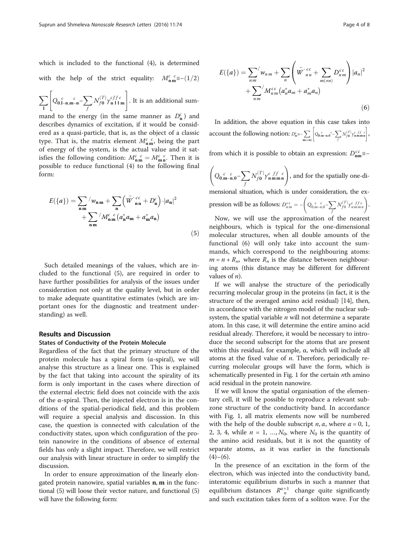which is included to the functional (4), is determined with the help of the strict equality:  $M_{nm}^c = -(1/2)$ 

 $\sum$ l  $Q_{\mathbf{0},\mathbf{l}-\mathbf{n},\mathbf{m}-\mathbf{n}}^{\ \ c}$  -  $\sum$ f  $\left[Q_{\mathbf{0},\mathbf{I}-\mathbf{n},\mathbf{m-n}}^{c} - \sum_{f,\mathbf{0}} N_{f\mathbf{0}}^{(T)} \gamma_{\mathbf{n}11\mathbf{m}}^{eff} \right]$ . It is an additional sum-

mand to the energy (in the same manner as  $D_n^c$ ) and describes dynamics of excitation, if it would be considered as a quasi-particle, that is, as the object of a classic type. That is, the matrix element  $M_{\mathbf{n}\mathbf{m}}^{c}$ , being the part of energy of the system, is the actual value and it satisfies the following condition:  $M_{nn}^{c\ c} = M_{nn}^{c\ c}$ . Then it is possible to reduce functional (4) to the following final form:

$$
E({a}) = \sum_{\mathbf{n}\mathbf{m}}' \langle w_{\mathbf{n}\mathbf{m}} + \sum_{\mathbf{n}} \left( \tilde{W}^{c}{}_{\mathbf{n}\mathbf{n}}^{c} + D_{\mathbf{n}}^{c} \right) \cdot |a_{\mathbf{n}}|^{2} + \sum_{\mathbf{n}\mathbf{m}}' \langle M_{\mathbf{n}\mathbf{m}}^{c} (a_{\mathbf{n}}^{*} a_{\mathbf{m}} + a_{\mathbf{m}}^{*} a_{\mathbf{n}}) \tag{5}
$$

Such detailed meanings of the values, which are included to the functional (5), are required in order to have further possibilities for analysis of the issues under consideration not only at the quality level, but in order to make adequate quantitative estimates (which are important ones for the diagnostic and treatment understanding) as well.

# Results and Discussion

## States of Conductivity of the Protein Molecule

Regardless of the fact that the primary structure of the protein molecule has a spiral form (α-spiral), we will analyse this structure as a linear one. This is explained by the fact that taking into account the spirality of its form is only important in the cases where direction of the external electric field does not coincide with the axis of the α-spiral. Then, the injected electron is in the conditions of the spatial-periodical field, and this problem will require a special analysis and discussion. In this case, the question is connected with calculation of the conductivity states, upon which configuration of the protein nanowire in the conditions of absence of external fields has only a slight impact. Therefore, we will restrict our analysis with linear structure in order to simplify the discussion.

In order to ensure approximation of the linearly elongated protein nanowire, spatial variables  $n, m$  in the functional (5) will loose their vector nature, and functional (5) will have the following form:

$$
E({a}) = \sum_{nm}^{ } / w_{nm} + \sum_{n} \left( \tilde{W}^{c c}_{nn} + \sum_{m(\neq n)} D^{c c}_{nm} \right) |a_{n}|^{2}
$$

$$
+ \sum_{nm}^{ } / M^{c c}_{nm} (a_{n}^{*} a_{m} + a_{m}^{*} a_{n})
$$
(6)

In addition, the above equation in this case takes into account the following notion:  $D_n^c = -\sum_{n=1}^{\infty}$  $\mathbf{m}(\neq\mathbf{n})$  $Q_{\mathbf{0},\mathbf{m}-\mathbf{n},\mathbf{0}}^c$  –  $\sum$  $\left[Q_{\mathbf{0},\mathbf{m}-\mathbf{n},\mathbf{0}}^{c}$  -  $\sum_{f} N_{f\mathbf{0}}^{(T)} \gamma_{\mathbf{n}\mathbf{m}\mathbf{m}\mathbf{n}}^{c}$ 

from which it is possible to obtain an expression:  $D_{nm}^{cc}$ =-

$$
\left(Q_{0,\mathbf{m-n},0}^c - \sum_{f} N_{f0}^{(T)} \gamma_{\mathbf{n} \mathbf{m} \mathbf{m} \mathbf{n}}^{cf} \right),
$$
 and for the spatially one-di-  
imensional situation, which is under consideration, the ex-  
pression will be as follows:  $D_{nm}^{cc} = -\left(Q_{0,m-n,0}^{c-c} - \sum_{f} N_{f0}^{(T)} \gamma_{nmmn}^{cf} \right)$ .  
Now, we will use the approximation of the nearest

Now, we will use the approximation of the nearest neighbours, which is typical for the one-dimensional molecular structures, when all double amounts of the functional (6) will only take into account the summands, which correspond to the neighbouring atoms:  $m = n + R_n$ , where  $R_n$  is the distance between neighbouring atoms (this distance may be different for different values of  $n$ ).

If we will analyse the structure of the periodically recurring molecular group in the proteins (in fact, it is the structure of the averaged amino acid residual) [\[14\]](#page--1-0), then, in accordance with the nitrogen model of the nuclear subsystem, the spatial variable  $n$  will not determine a separate atom. In this case, it will determine the entire amino acid residual already. Therefore, it would be necessary to introduce the second subscript for the atoms that are present within this residual, for example, α, which will include all atoms at the fixed value of  $n$ . Therefore, periodically recurring molecular groups will have the form, which is schematically presented in Fig. [1](#page-4-0) for the certain  $n$ th amino acid residual in the protein nanowire.

If we will know the spatial organisation of the elementary cell, it will be possible to reproduce a relevant subzone structure of the conductivity band. In accordance with Fig. [1,](#page-4-0) all matrix elements now will be numbered with the help of the double subscript  $n, \alpha$ , where  $\alpha = 0, 1$ , 2, 3, 4, while  $n = 1, ..., N_0$ , where  $N_0$  is the quantity of the amino acid residuals, but it is not the quantity of separate atoms, as it was earlier in the functionals  $(4)-(6)$ .

In the presence of an excitation in the form of the electron, which was injected into the conductivity band, interatomic equilibrium disturbs in such a manner that equilibrium distances  $R_{n}^{\alpha+1}$  change quite significantly and such excitation takes form of a soliton wave. For the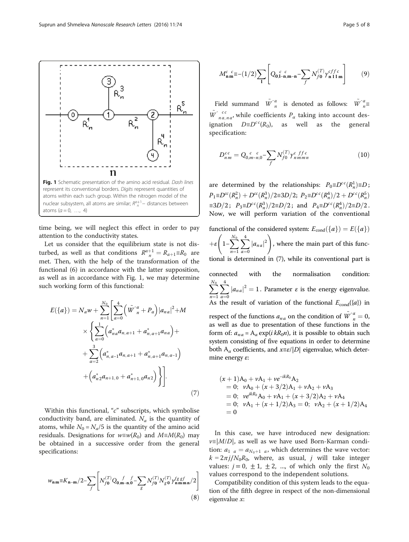time being, we will neglect this effect in order to pay attention to the conductivity states.

Let us consider that the equilibrium state is not disturbed, as well as that conditions  $R^{\alpha+1} = R_{\alpha+1} = R_0$  are<br>met. Then, with the help of the transformation of the met. Then, with the help of the transformation of the functional (6) in accordance with the latter supposition, as well as in accordance with Fig. 1, we may determine such working form of this functional:

$$
E({a}) = N_a w + \sum_{n=1}^{N_0} \left[ \sum_{\alpha=0}^4 (\tilde{W}^{\alpha}_{n} + P_{\alpha}) |a_{n\alpha}|^2 + M
$$
  
 
$$
\times \left\{ \sum_{\alpha=0}^1 (a_{n\alpha}^* a_{n,\alpha+1} + a_{n,\alpha+1}^* a_{n\alpha}) + \right. \\ \left. + \sum_{\alpha=2}^3 (a_{n,\alpha-1}^* a_{n,\alpha+1} + a_{n,\alpha+1}^* a_{n,\alpha-1}) + (a_{n\alpha}^* a_{n\alpha+1,0} + a_{n\alpha+1,0}^* a_{n\alpha}) \right\} \right].
$$
  
(7)

Within this functional, "c" subscripts, which symbolise conductivity band, are eliminated.  $N_a$  is the quantity of atoms, while  $N_0 = N_a/5$  is the quantity of the amino acid residuals. Designations for  $w \equiv w(R_0)$  and  $M \equiv M(R_0)$  may be obtained in a successive order from the general specifications:

$$
w_{\mathbf{n}\mathbf{m}} \equiv K_{\mathbf{n}-\mathbf{m}}/2 - \sum_{f} \left[ N_{f0}^{(T)} Q_{0,\mathbf{m}-\mathbf{n},0}^{f} - \sum_{g} N_{f0}^{(T)} N_{g0}^{(T)} \gamma_{\mathbf{n}\mathbf{m}\mathbf{m}\mathbf{n}}^{(T)} / 2 \right]
$$
(8)

$$
M_{\mathbf{n}\,\mathbf{m}}^{c\ c} = -(1/2) \sum_{\mathbf{l}} \left[ Q_{\mathbf{0},\mathbf{l}-\mathbf{n},\mathbf{m}-\mathbf{n}}^{c\ c} - \sum_{f} N_{f\mathbf{0}}^{(T)} \gamma_{\mathbf{n}\,\mathbf{l}\,\mathbf{l}\,\mathbf{m}}^{eff\ c} \right] \tag{9}
$$

Field summand  $\tilde{W}^{\alpha}_{n}$  is denoted as follows:  $\tilde{W}^{\alpha}_{n}$  $\tilde{W}_{n\alpha, n\alpha}^{cc}$ , while coefficients  $P_{\alpha}$  taking into account designation  $D \equiv D^{c} (R_0)$ , as well as the general specification:

$$
D_{nm}^{cc} = Q_{0,m-n,0}^{c} - \sum_{f} N_{f0}^{(T)} \gamma_{nmmn}^{c} \tag{10}
$$

are determined by the relationships:  $P_0 \equiv D^{cc}(R_n^1) \equiv D$ ;<br> $P_0 = D^{cc}(R_1^2)$  ;  $P_c = (R_1^2)(R_2 + R_2^c)(R_1^3)$  ;  $P_c = (R_1^2)(R_2 + R_2^c)(R_2^3)$  $P_1 \equiv D^{cc}(R_n^2) + D^{cc}(R_n^3)/2 = 3D/2; P_2 \equiv D^{cc}(R_n^4)/2 + D^{cc}(R_n^5)$ n)<br>o  $\equiv 3D/2$ ;  $P_3 \equiv D^{cc}(R_n^3)/2 \equiv D/2$ ; and  $P_4 \equiv D^{cc}(R_n^4)/2 \equiv D/2$ .<br>Now we will perform variation of the conventional Now, we will perform variation of the conventional

functional of the considered system:  $E_{cond}(\lbrace a \rbrace) = E(\lbrace a \rbrace)$  $+\varepsilon \left(1-\sum_{n=1}^{N_0}\sum_{\alpha=0}^4|a_{n\alpha}|^2\right)$ , where the main part of this func- $\left\langle n=1 \right\rangle$  a=0  $\left\langle n=0 \right\rangle$  /<br>tional is determined in (7), while its conventional part is

connected with the normalisation condition:  $\sum_{n=1}^{N_0} \sum_{\alpha=0}^{4} |a_{n\alpha}|^2 = 1.$  Parameter  $\varepsilon$  is the energy eigenvalue.  $n=1$   $\alpha=0$ <br>As the result of variation of the functional  $E_{\text{cond}}(\lbrace a \rbrace)$  in

respect of the functions  $a_{n\alpha}$  on the condition of  $\tilde{W}^{\alpha}_{n} = 0$ , as well as due to presentation of these functions in the form of:  $a_{n\alpha} = A_{\alpha} \exp(i kR_0 n)$ , it is possible to obtain such system consisting of five equations in order to determine both  $A_\alpha$  coefficients, and  $x \equiv \varepsilon / |D|$  eigenvalue, which determine energy ε:

$$
(x + 1)A0 + vA1 + ve-ikR0A2= 0; vA0 + (x + 3/2)A1 + vA2 + vA3= 0; veikR0A0 + vA1 + (x + 3/2)A2 + vA4= 0; vA1 + (x + 1/2)A3 = 0; vA2 + (x + 1/2)A4= 0
$$

In this case, we have introduced new designation:  $v=|M/D|$ , as well as we have used Born-Karman condition:  $a_1$   $\alpha = a_{N_0+1}$   $\alpha$ , which determines the wave vector:  $k = 2\pi j/N_0R_0$ , where, as usual, j will take integer values:  $j = 0, \pm 1, \pm 2, \dots$ , of which only the first  $N_0$ values correspond to the independent solutions.

Compatibility condition of this system leads to the equation of the fifth degree in respect of the non-dimensional eigenvalue x:

<span id="page-4-0"></span>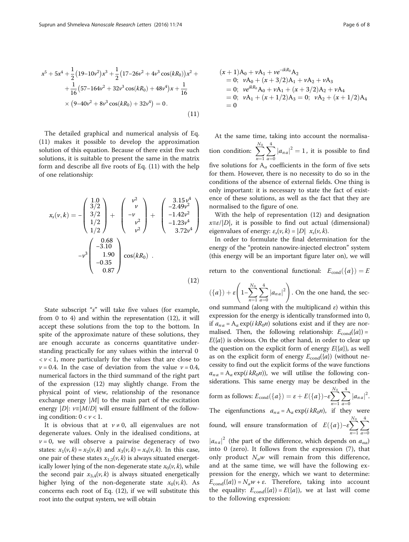$$
x^{5} + 5x^{4} + \frac{1}{2} (19 - 10\nu^{2})x^{3} + \frac{1}{2} (17 - 26\nu^{2} + 4\nu^{3} \cos(kR_{0}))x^{2} +
$$
  
+ 
$$
\frac{1}{16} (57 - 164\nu^{2} + 32\nu^{3} \cos(kR_{0}) + 48\nu^{4})x + \frac{1}{16}
$$
  

$$
\times (9 - 40\nu^{2} + 8\nu^{3} \cos(kR_{0}) + 32\nu^{4}) = 0.
$$
 (11)

The detailed graphical and numerical analysis of Eq. (11) makes it possible to develop the approximation solution of this equation. Because of there exist five such solutions, it is suitable to present the same in the matrix form and describe all five roots of Eq. (11) with the help of one relationship:

$$
x_{s}(\nu,k) = -\begin{pmatrix} 1.0\\3/2\\3/2\\1/2\\1/2 \end{pmatrix} + \begin{pmatrix} \nu^{2}\\ \nu\\ -\nu\\ \nu^{2}\\ \nu^{2} \end{pmatrix} + \begin{pmatrix} 3.15 \nu^{4}\\ -2.49 \nu^{2}\\ -1.42 \nu^{2}\\ -1.23 \nu^{4}\\ 3.72 \nu^{4} \end{pmatrix}
$$

$$
- \nu^{3} \begin{pmatrix} 0.68\\-3.10\\1.90\\-0.35\\0.87 \end{pmatrix} \cos(kR_{0}) . \tag{12}
$$

State subscript "s" will take five values (for example, from 0 to 4) and within the representation (12), it will accept these solutions from the top to the bottom. In spite of the approximate nature of these solutions, they are enough accurate as concerns quantitative understanding practically for any values within the interval 0  $\langle v \rangle$ , more particularly for the values that are close to  $v = 0.4$ . In the case of deviation from the value  $v = 0.4$ , numerical factors in the third summand of the right part of the expression (12) may slightly change. From the physical point of view, relationship of the resonance exchange energy  $|M|$  to the main part of the excitation energy  $|D|: v=|M/D|$  will ensure fulfilment of the following condition:  $0 < v < 1$ .

It is obvious that at  $v \neq 0$ , all eigenvalues are not degenerate values. Only in the idealised conditions, at  $v = 0$ , we will observe a pairwise degeneracy of two states:  $x_1(v, k) = x_2(v, k)$  and  $x_3(v, k) = x_4(v, k)$ . In this case, one pair of these states  $x_{1,2}(v, k)$  is always situated energetically lower lying of the non-degenerate state  $x_0(v, k)$ , while the second pair  $x_{3,4}(v, k)$  is always situated energetically higher lying of the non-degenerate state  $x_0(v, k)$ . As concerns each root of Eq. (12), if we will substitute this root into the output system, we will obtain

$$
(x + 1)A0 + vA1 + ve-ikR0A2= 0; vA0 + (x + 3/2)A1 + vA2 + vA3= 0; veikR0A0 + vA1 + (x + 3/2)A2 + vA4= 0; vA1 + (x + 1/2)A3 = 0; vA2 + (x + 1/2)A4= 0
$$

At the same time, taking into account the normalisation condition:  $\sum_{n=1}^{N_0}$  $n=1$  $\sum^4$  $\sum_{\alpha=0} |a_{n\alpha}|^2 = 1$ , it is possible to find<br>an accession to the form of five sets five solutions for  $A_\alpha$  coefficients in the form of five sets for them. However, there is no necessity to do so in the conditions of the absence of external fields. One thing is only important: it is necessary to state the fact of existence of these solutions, as well as the fact that they are normalised to the figure of one.

With the help of representation (12) and designation  $x\equiv \varepsilon/|D|$ , it is possible to find out actual (dimensional) eigenvalues of energy:  $\varepsilon_s(v, k) = |D| x_s(v, k)$ .

In order to formulate the final determination for the energy of the "protein nanowire-injected electron" system (this energy will be an important figure later on), we will

return to the conventional functional:  $E_{cond}(\lbrace a \rbrace) = E$ 

 $(\lbrace a \rbrace) + \varepsilon \Bigg(1 - \sum_{n=1}^{N_0}$  $n=1$  $\sum^4$  $\left(1-\sum_{n=1}^{N_0}\sum_{\alpha=0}^{4}|a_{n\alpha}|^2\right)$ . On the one hand, the sec-

ond summand (along with the multiplicand  $\varepsilon$ ) within this expression for the energy is identically transformed into 0, if  $a_{n\alpha} = A_{\alpha} \exp(i kR_0 n)$  solutions exist and if they are normalised. Then, the following relationship:  $E_{\text{cond}}(\{a\})$  =  $E({a})$  is obvious. On the other hand, in order to clear up the question on the explicit form of energy  $E({a})$ , as well as on the explicit form of energy  $E_{\text{cond}}(\lbrace a \rbrace)$  (without necessity to find out the explicit forms of the wave functions  $a_{n\alpha} = A_{\alpha} \exp(i k R_0 n)$ , we will utilise the following considerations. This same energy may be described in the

form as follows: 
$$
E_{\text{cond}}(\{a\}) = \varepsilon + E(\{a\}) - \varepsilon \sum_{n=1}^{N_0} \sum_{\alpha=0}^{4} |a_{n\alpha}|^2
$$
.  
The eigenfunctions  $a_{n\alpha} = A_{\alpha} \exp(i kR_0 n)$ , if they were

found, will ensure transformation of  $E({a})- \varepsilon \sum_{n=1}^{N_0}$  $n=1$  $\sum^4$  $\alpha=0$  $|a_{n\alpha}|^2$  (the part of the difference, which depends on  $a_{n\alpha}$ )

into 0 (zero). It follows from the expression (7), that only product  $N_a w$  will remain from this difference, and at the same time, we will have the following expression for the energy, which we want to determine:  $E_{\text{cond}}(\{a\}) = N_a w + \varepsilon$ . Therefore, taking into account the equality:  $E_{\text{cond}}(\{a\}) = E(\{a\})$ , we at last will come to the following expression: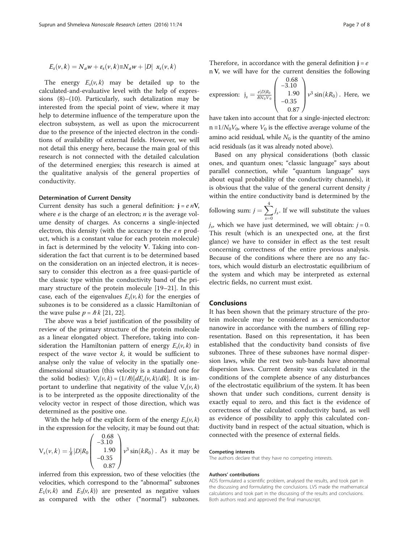The energy  $E_s(v, k)$  may be detailed up to the calculated-and-evaluative level with the help of expressions (8)–(10). Particularly, such detalization may be interested from the special point of view, where it may help to determine influence of the temperature upon the electron subsystem, as well as upon the microcurrent due to the presence of the injected electron in the conditions of availability of external fields. However, we will not detail this energy here, because the main goal of this research is not connected with the detailed calculation of the determined energies; this research is aimed at the qualitative analysis of the general properties of conductivity.

## Determination of Current Density

Current density has such a general definition:  $\mathbf{j} = e \, n\mathbf{V}$ , where  $e$  is the charge of an electron;  $n$  is the average volume density of charges. As concerns a single-injected electron, this density (with the accuracy to the  $e \, n$  product, which is a constant value for each protein molecule) in fact is determined by the velocity V. Taking into consideration the fact that current is to be determined based on the consideration on an injected electron, it is necessary to consider this electron as a free quasi-particle of the classic type within the conductivity band of the primary structure of the protein molecule [\[19](#page--1-0)–[21\]](#page--1-0). In this case, each of the eigenvalues  $E_s(v, k)$  for the energies of subzones is to be considered as a classic Hamiltonian of the wave pulse  $p = \hbar k$  [[21](#page--1-0), [22](#page--1-0)].

The above was a brief justification of the possibility of review of the primary structure of the protein molecule as a linear elongated object. Therefore, taking into consideration the Hamiltonian pattern of energy  $E_s(v, k)$  in respect of the wave vector  $k$ , it would be sufficient to analyse only the value of velocity in the spatially onedimensional situation (this velocity is a standard one for the solid bodies):  $V_s(v, k) = (1/\hbar)[dE_s(v, k)/dk]$ . It is important to underline that negativity of the value  $V_s(v, k)$ is to be interpreted as the opposite directionality of the velocity vector in respect of those direction, which was determined as the positive one.

With the help of the explicit form of the energy  $E_s(v, k)$ in the expression for the velocity, it may be found out that:

$$
V_s(\nu, k) = \frac{1}{\hbar} |D| R_0 \begin{pmatrix} 0.68 \\ -3.10 \\ 1.90 \\ -0.35 \\ 0.87 \end{pmatrix} \nu^3 \sin(kR_0).
$$
 As it may be

inferred from this expression, two of these velocities (the velocities, which correspond to the "abnormal" subzones  $E_1(v, k)$  and  $E_3(v, k)$  are presented as negative values as compared with the other ("normal") subzones.

expression: 
$$
j_s = \frac{e|D|R_0}{\hbar N_0 V_0} \begin{pmatrix} 0.68 \\ -3.10 \\ 1.90 \\ -0.35 \\ 0.87 \end{pmatrix} v^3 \sin(kR_0)
$$
. Here, we

have taken into account that for a single-injected electron:  $n \equiv 1/N_0V_0$ , where  $V_0$  is the effective average volume of the amino acid residual, while  $N_0$  is the quantity of the amino acid residuals (as it was already noted above).

Based on any physical considerations (both classic ones, and quantum ones; "classic language" says about parallel connection, while "quantum language" says about equal probability of the conductivity channels), it is obvious that the value of the general current density  $j$ within the entire conductivity band is determined by the

following sum: 
$$
j = \sum_{s=0}^{4} j_s
$$
. If we will substitute the values  $j_s$ , which we have just determined, we will obtain:  $j = 0$ .  
This result (which is an unexpected one at the first

This result (which is an unexpected one, at the first glance) we have to consider in effect as the test result concerning correctness of the entire previous analysis. Because of the conditions where there are no any factors, which would disturb an electrostatic equilibrium of the system and which may be interpreted as external electric fields, no current must exist.

# Conclusions

It has been shown that the primary structure of the protein molecule may be considered as a semiconductor nanowire in accordance with the numbers of filling representation. Based on this representation, it has been established that the conductivity band consists of five subzones. Three of these subzones have normal dispersion laws, while the rest two sub-bands have abnormal dispersion laws. Current density was calculated in the conditions of the complete absence of any disturbances of the electrostatic equilibrium of the system. It has been shown that under such conditions, current density is exactly equal to zero, and this fact is the evidence of correctness of the calculated conductivity band, as well as evidence of possibility to apply this calculated conductivity band in respect of the actual situation, which is connected with the presence of external fields.

#### Competing interests

The authors declare that they have no competing interests.

## Authors' contributions

ADS formulated a scientific problem, analysed the results, and took part in the discussing and formulating the conclusions. LVS made the mathematical calculations and took part in the discussing of the results and conclusions. Both authors read and approved the final manuscript.